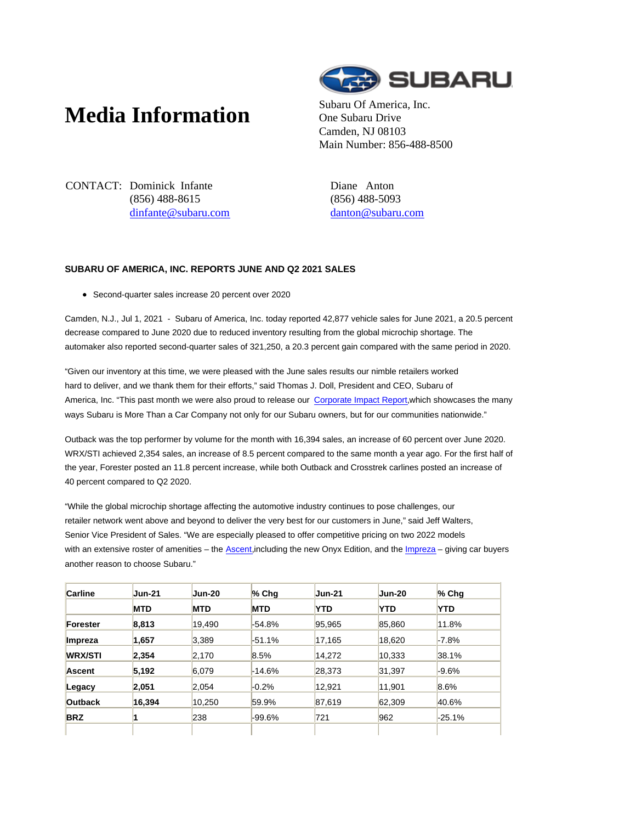## **Media Information** Subaru Of America, Inc.



One Subaru Drive Camden, NJ 08103 Main Number: 856-488-8500

CONTACT: Dominick Infante (856) 488-8615 dinfante@subaru.com Diane Anton (856) 488-5093 danton@subaru.com

## **SUBARU OF AMERICA, INC. REPORTS JUNE AND Q2 2021 SALES**

Second-quarter sales increase 20 percent over 2020

Camden, N.J., Jul 1, 2021 - Subaru of America, Inc. today reported 42,877 vehicle sales for June 2021, a 20.5 percent decrease compared to June 2020 due to reduced inventory resulting from the global microchip shortage. The automaker also reported second-quarter sales of 321,250, a 20.3 percent gain compared with the same period in 2020.

"Given our inventory at this time, we were pleased with the June sales results our nimble retailers worked hard to deliver, and we thank them for their efforts," said Thomas J. Doll, President and CEO, Subaru of America, Inc. "This past month we were also proud to release our Corporate Impact Report, which showcases the many ways Subaru is More Than a Car Company not only for our Subaru owners, but for our communities nationwide."

Outback was the top performer by volume for the month with 16,394 sales, an increase of 60 percent over June 2020. WRX/STI achieved 2,354 sales, an increase of 8.5 percent compared to the same month a year ago. For the first half of the year, Forester posted an 11.8 percent increase, while both Outback and Crosstrek carlines posted an increase of 40 percent compared to Q2 2020.

"While the global microchip shortage affecting the automotive industry continues to pose challenges, our retailer network went above and beyond to deliver the very best for our customers in June," said Jeff Walters, Senior Vice President of Sales. "We are especially pleased to offer competitive pricing on two 2022 models with an extensive roster of amenities – the Ascent, including the new Onyx Edition, and the Impreza – giving car buyers another reason to choose Subaru."

| <b>Carline</b> | $Jun-21$   | <b>Jun-20</b> | % Cha      | $Jun-21$   | $Jun-20$   | $%$ Cha    |
|----------------|------------|---------------|------------|------------|------------|------------|
|                | <b>MTD</b> | <b>MTD</b>    | <b>MTD</b> | <b>YTD</b> | <b>YTD</b> | <b>YTD</b> |
| Forester       | 8.813      | 19.490        | $-54.8%$   | 95,965     | 85.860     | 11.8%      |
| Impreza        | 1.657      | 3.389         | $-51.1%$   | 17.165     | 18.620     | $-7.8%$    |
| <b>WRX/STI</b> | 2.354      | 2.170         | 8.5%       | 14.272     | 10.333     | 38.1%      |
| <b>Ascent</b>  | 5.192      | 6,079         | $-14.6%$   | 28,373     | 31,397     | $-9.6%$    |
| Legacy         | 2,051      | 2.054         | $-0.2%$    | 12.921     | 11.901     | 8.6%       |
| <b>Outback</b> | 16.394     | 10.250        | 59.9%      | 87.619     | 62.309     | 40.6%      |
| <b>BRZ</b>     |            | 238           | $-99.6%$   | 721        | 962        | $-25.1%$   |
|                |            |               |            |            |            |            |